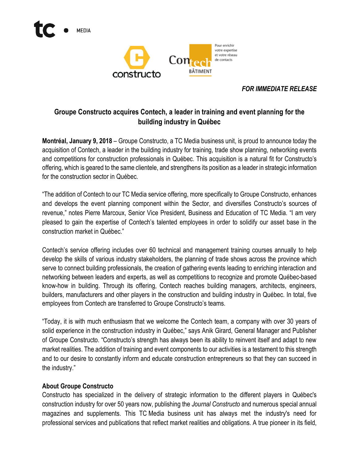

## *FOR IMMEDIATE RELEASE*

# **Groupe Constructo acquires Contech, a leader in training and event planning for the building industry in Québec**

**Montréal, January 9, 2018** – Groupe Constructo, a TC Media business unit, is proud to announce today the acquisition of Contech, a leader in the building industry for training, trade show planning, networking events and competitions for construction professionals in Québec. This acquisition is a natural fit for Constructo's offering, which is geared to the same clientele, and strengthens its position as a leader in strategic information for the construction sector in Québec.

"The addition of Contech to our TC Media service offering, more specifically to Groupe Constructo, enhances and develops the event planning component within the Sector, and diversifies Constructo's sources of revenue," notes Pierre Marcoux, Senior Vice President, Business and Education of TC Media. "I am very pleased to gain the expertise of Contech's talented employees in order to solidify our asset base in the construction market in Québec."

Contech's service offering includes over 60 technical and management training courses annually to help develop the skills of various industry stakeholders, the planning of trade shows across the province which serve to connect building professionals, the creation of gathering events leading to enriching interaction and networking between leaders and experts, as well as competitions to recognize and promote Québec-based know-how in building. Through its offering, Contech reaches building managers, architects, engineers, builders, manufacturers and other players in the construction and building industry in Québec. In total, five employees from Contech are transferred to Groupe Constructo's teams.

"Today, it is with much enthusiasm that we welcome the Contech team, a company with over 30 years of solid experience in the construction industry in Québec," says Anik Girard, General Manager and Publisher of Groupe Constructo. "Constructo's strength has always been its ability to reinvent itself and adapt to new market realities. The addition of training and event components to our activities is a testament to this strength and to our desire to constantly inform and educate construction entrepreneurs so that they can succeed in the industry."

### **About Groupe Constructo**

Constructo has specialized in the delivery of strategic information to the different players in Québec's construction industry for over 50 years now, publishing the *Journal Constructo* and numerous special annual magazines and supplements. This TC Media business unit has always met the industry's need for professional services and publications that reflect market realities and obligations. A true pioneer in its field,